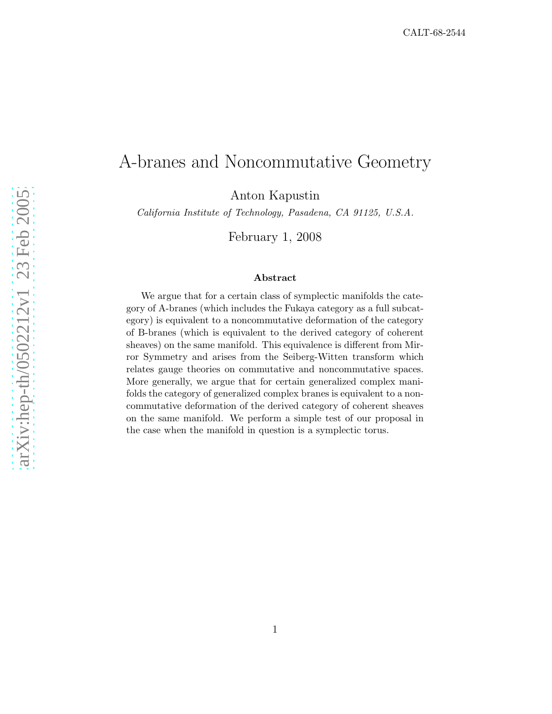# A-branes and Noncommutative Geometry

Anton Kapustin

California Institute of Technology, Pasadena, CA 91125, U.S.A.

February 1, 2008

#### Abstract

We argue that for a certain class of symplectic manifolds the category of A-branes (which includes the Fukaya category as a full subcategory) is equivalent to a noncommutative deformation of the category of B-branes (which is equivalent to the derived category of coherent sheaves) on the same manifold. This equivalence is different from Mirror Symmetry and arises from the Seiberg-Witten transform which relates gauge theories on commutative and noncommutative spaces. More generally, we argue that for certain generalized complex manifolds the category of generalized complex branes is equivalent to a noncommutative deformation of the derived category of coherent sheaves on the same manifold. We perform a simple test of our proposal in the case when the manifold in question is a symplectic torus.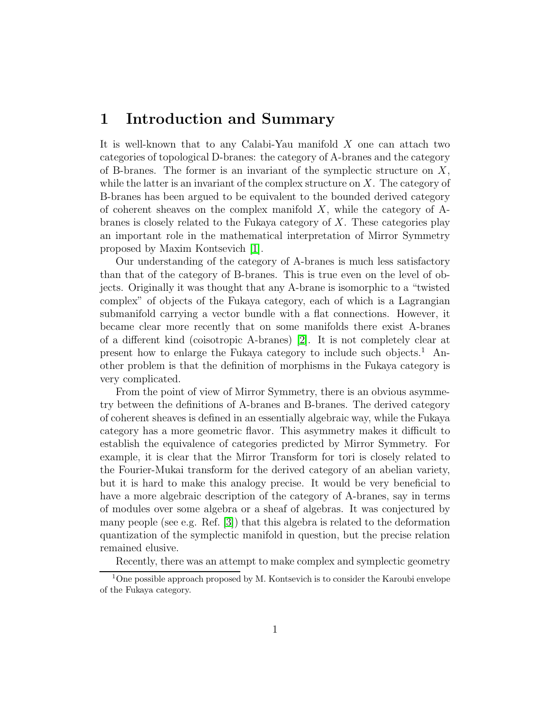## 1 Introduction and Summary

It is well-known that to any Calabi-Yau manifold X one can attach two categories of topological D-branes: the category of A-branes and the category of B-branes. The former is an invariant of the symplectic structure on  $X$ , while the latter is an invariant of the complex structure on  $X$ . The category of B-branes has been argued to be equivalent to the bounded derived category of coherent sheaves on the complex manifold  $X$ , while the category of  $A$ branes is closely related to the Fukaya category of  $X$ . These categories play an important role in the mathematical interpretation of Mirror Symmetry proposed by Maxim Kontsevich [\[1\]](#page-13-0).

Our understanding of the category of A-branes is much less satisfactory than that of the category of B-branes. This is true even on the level of objects. Originally it was thought that any A-brane is isomorphic to a "twisted complex" of objects of the Fukaya category, each of which is a Lagrangian submanifold carrying a vector bundle with a flat connections. However, it became clear more recently that on some manifolds there exist A-branes of a different kind (coisotropic A-branes) [\[2\]](#page-13-1). It is not completely clear at present how to enlarge the Fukaya category to include such objects.<sup>1</sup> Another problem is that the definition of morphisms in the Fukaya category is very complicated.

From the point of view of Mirror Symmetry, there is an obvious asymmetry between the definitions of A-branes and B-branes. The derived category of coherent sheaves is defined in an essentially algebraic way, while the Fukaya category has a more geometric flavor. This asymmetry makes it difficult to establish the equivalence of categories predicted by Mirror Symmetry. For example, it is clear that the Mirror Transform for tori is closely related to the Fourier-Mukai transform for the derived category of an abelian variety, but it is hard to make this analogy precise. It would be very beneficial to have a more algebraic description of the category of A-branes, say in terms of modules over some algebra or a sheaf of algebras. It was conjectured by many people (see e.g. Ref. [\[3\]](#page-13-2)) that this algebra is related to the deformation quantization of the symplectic manifold in question, but the precise relation remained elusive.

Recently, there was an attempt to make complex and symplectic geometry

<sup>&</sup>lt;sup>1</sup>One possible approach proposed by M. Kontsevich is to consider the Karoubi envelope of the Fukaya category.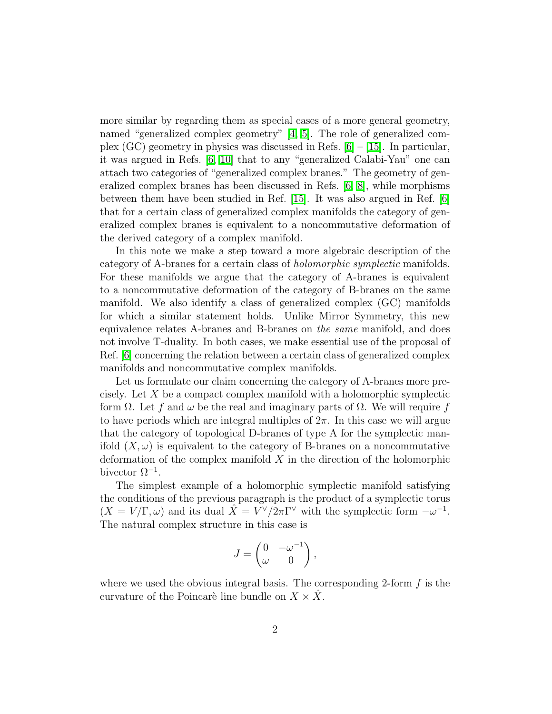more similar by regarding them as special cases of a more general geometry, named "generalized complex geometry" [\[4,](#page-13-3) [5\]](#page-14-0). The role of generalized complex (GC) geometry in physics was discussed in Refs.  $[6] - [15]$  $[6] - [15]$ . In particular, it was argued in Refs. [\[6,](#page-14-1) [10\]](#page-14-3) that to any "generalized Calabi-Yau" one can attach two categories of "generalized complex branes." The geometry of generalized complex branes has been discussed in Refs. [\[6,](#page-14-1) [8\]](#page-14-4), while morphisms between them have been studied in Ref. [\[15\]](#page-14-2). It was also argued in Ref. [\[6\]](#page-14-1) that for a certain class of generalized complex manifolds the category of generalized complex branes is equivalent to a noncommutative deformation of the derived category of a complex manifold.

In this note we make a step toward a more algebraic description of the category of A-branes for a certain class of holomorphic symplectic manifolds. For these manifolds we argue that the category of A-branes is equivalent to a noncommutative deformation of the category of B-branes on the same manifold. We also identify a class of generalized complex (GC) manifolds for which a similar statement holds. Unlike Mirror Symmetry, this new equivalence relates A-branes and B-branes on the same manifold, and does not involve T-duality. In both cases, we make essential use of the proposal of Ref. [\[6\]](#page-14-1) concerning the relation between a certain class of generalized complex manifolds and noncommutative complex manifolds.

Let us formulate our claim concerning the category of A-branes more precisely. Let X be a compact complex manifold with a holomorphic symplectic form Ω. Let f and  $ω$  be the real and imaginary parts of  $Ω$ . We will require f to have periods which are integral multiples of  $2\pi$ . In this case we will argue that the category of topological D-branes of type A for the symplectic manifold  $(X, \omega)$  is equivalent to the category of B-branes on a noncommutative deformation of the complex manifold  $X$  in the direction of the holomorphic bivector  $\Omega^{-1}$ .

The simplest example of a holomorphic symplectic manifold satisfying the conditions of the previous paragraph is the product of a symplectic torus  $(X = V/\Gamma, \omega)$  and its dual  $\hat{X} = V^{\vee}/2\pi\Gamma^{\vee}$  with the symplectic form  $-\omega^{-1}$ . The natural complex structure in this case is

$$
J = \begin{pmatrix} 0 & -\omega^{-1} \\ \omega & 0 \end{pmatrix},
$$

where we used the obvious integral basis. The corresponding 2-form  $f$  is the curvature of the Poincaré line bundle on  $X \times \overline{X}$ .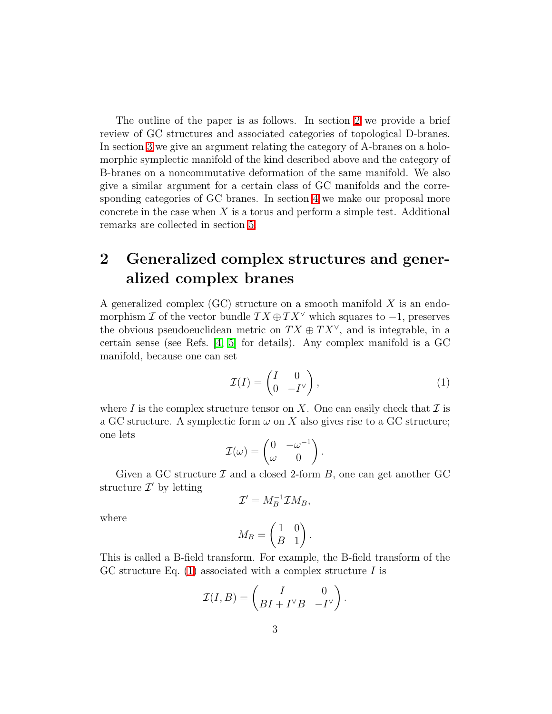The outline of the paper is as follows. In section [2](#page-3-0) we provide a brief review of GC structures and associated categories of topological D-branes. In section [3](#page-5-0) we give an argument relating the category of A-branes on a holomorphic symplectic manifold of the kind described above and the category of B-branes on a noncommutative deformation of the same manifold. We also give a similar argument for a certain class of GC manifolds and the corresponding categories of GC branes. In section [4](#page-8-0) we make our proposal more concrete in the case when  $X$  is a torus and perform a simple test. Additional remarks are collected in section [5.](#page-12-0)

# <span id="page-3-0"></span>2 Generalized complex structures and generalized complex branes

A generalized complex  $(GC)$  structure on a smooth manifold  $X$  is an endomorphism I of the vector bundle  $TX \oplus TX^{\vee}$  which squares to  $-1$ , preserves the obvious pseudoeuclidean metric on  $TX \oplus TX^{\vee}$ , and is integrable, in a certain sense (see Refs. [\[4,](#page-13-3) [5\]](#page-14-0) for details). Any complex manifold is a GC manifold, because one can set

<span id="page-3-1"></span>
$$
\mathcal{I}(I) = \begin{pmatrix} I & 0 \\ 0 & -I^{\vee} \end{pmatrix},\tag{1}
$$

where I is the complex structure tensor on X. One can easily check that  $\mathcal I$  is a GC structure. A symplectic form  $\omega$  on X also gives rise to a GC structure; one lets

$$
\mathcal{I}(\omega) = \begin{pmatrix} 0 & -\omega^{-1} \\ \omega & 0 \end{pmatrix}.
$$

Given a GC structure  $\mathcal I$  and a closed 2-form  $B$ , one can get another GC structure  $\mathcal{I}'$  by letting

$$
\mathcal{I}'=M_B^{-1}\mathcal{I}M_B,
$$

where

$$
M_B = \begin{pmatrix} 1 & 0 \\ B & 1 \end{pmatrix}.
$$

This is called a B-field transform. For example, the B-field transform of the GC structure Eq.  $(1)$  associated with a complex structure I is

$$
\mathcal{I}(I, B) = \begin{pmatrix} I & 0 \\ BI + I^{\vee}B & -I^{\vee} \end{pmatrix}.
$$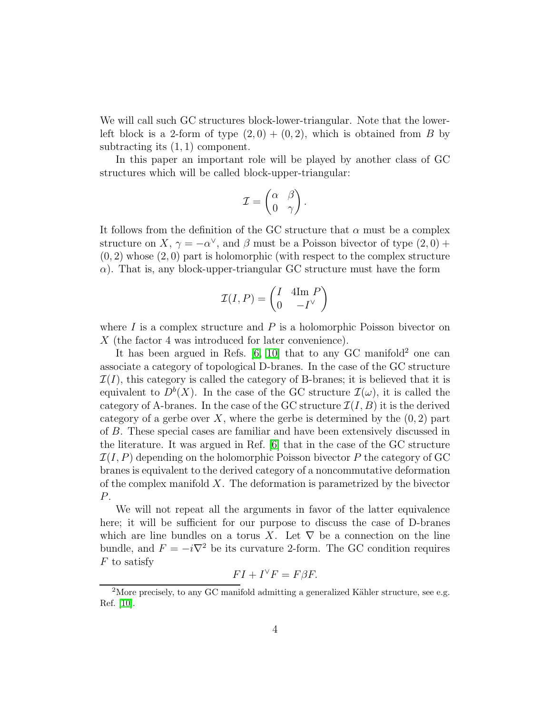We will call such GC structures block-lower-triangular. Note that the lowerleft block is a 2-form of type  $(2,0) + (0,2)$ , which is obtained from B by subtracting its (1, 1) component.

In this paper an important role will be played by another class of GC structures which will be called block-upper-triangular:

$$
\mathcal{I} = \begin{pmatrix} \alpha & \beta \\ 0 & \gamma \end{pmatrix}.
$$

It follows from the definition of the GC structure that  $\alpha$  must be a complex structure on X,  $\gamma = -\alpha^{\vee}$ , and  $\beta$  must be a Poisson bivector of type  $(2,0)$  +  $(0, 2)$  whose  $(2, 0)$  part is holomorphic (with respect to the complex structure  $\alpha$ ). That is, any block-upper-triangular GC structure must have the form

$$
\mathcal{I}(I, P) = \begin{pmatrix} I & 4\mathrm{Im } P \\ 0 & -I^{\vee} \end{pmatrix}
$$

where  $I$  is a complex structure and  $P$  is a holomorphic Poisson bivector on X (the factor 4 was introduced for later convenience).

It has been argued in Refs.  $[6, 10]$  $[6, 10]$  that to any GC manifold<sup>2</sup> one can associate a category of topological D-branes. In the case of the GC structure  $\mathcal{I}(I)$ , this category is called the category of B-branes; it is believed that it is equivalent to  $D^b(X)$ . In the case of the GC structure  $\mathcal{I}(\omega)$ , it is called the category of A-branes. In the case of the GC structure  $\mathcal{I}(I, B)$  it is the derived category of a gerbe over X, where the gerbe is determined by the  $(0, 2)$  part of B. These special cases are familiar and have been extensively discussed in the literature. It was argued in Ref. [\[6\]](#page-14-1) that in the case of the GC structure  $\mathcal{I}(I, P)$  depending on the holomorphic Poisson bivector P the category of GC branes is equivalent to the derived category of a noncommutative deformation of the complex manifold  $X$ . The deformation is parametrized by the bivector P.

We will not repeat all the arguments in favor of the latter equivalence here; it will be sufficient for our purpose to discuss the case of D-branes which are line bundles on a torus X. Let  $\nabla$  be a connection on the line bundle, and  $F = -i\nabla^2$  be its curvature 2-form. The GC condition requires  $F$  to satisfy

$$
FI + I^{\vee}F = F\beta F.
$$

<sup>&</sup>lt;sup>2</sup>More precisely, to any GC manifold admitting a generalized Kähler structure, see e.g. Ref. [\[10\]](#page-14-3).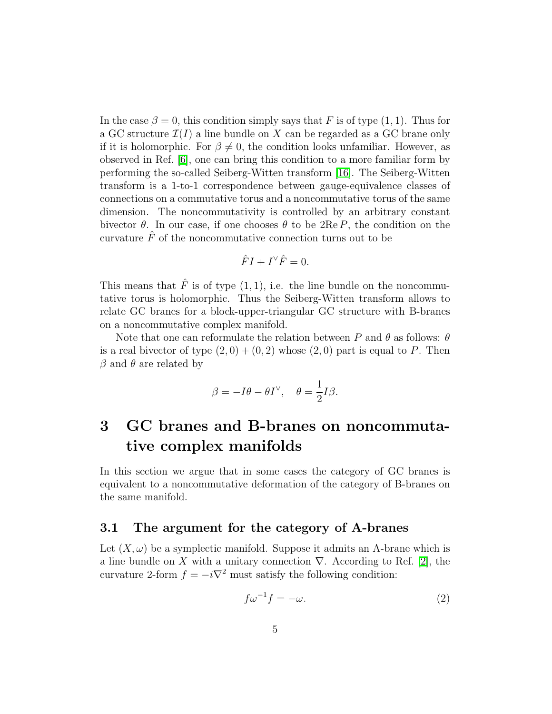In the case  $\beta = 0$ , this condition simply says that F is of type (1, 1). Thus for a GC structure  $\mathcal{I}(I)$  a line bundle on X can be regarded as a GC brane only if it is holomorphic. For  $\beta \neq 0$ , the condition looks unfamiliar. However, as observed in Ref. [\[6\]](#page-14-1), one can bring this condition to a more familiar form by performing the so-called Seiberg-Witten transform [\[16\]](#page-14-5). The Seiberg-Witten transform is a 1-to-1 correspondence between gauge-equivalence classes of connections on a commutative torus and a noncommutative torus of the same dimension. The noncommutativity is controlled by an arbitrary constant bivector  $\theta$ . In our case, if one chooses  $\theta$  to be  $2\text{Re }P$ , the condition on the curvature  $\hat{F}$  of the noncommutative connection turns out to be

$$
\hat{F}I + I^{\vee}\hat{F} = 0.
$$

This means that  $\hat{F}$  is of type  $(1, 1)$ , i.e. the line bundle on the noncommutative torus is holomorphic. Thus the Seiberg-Witten transform allows to relate GC branes for a block-upper-triangular GC structure with B-branes on a noncommutative complex manifold.

Note that one can reformulate the relation between P and  $\theta$  as follows:  $\theta$ is a real bivector of type  $(2,0) + (0,2)$  whose  $(2,0)$  part is equal to P. Then  $\beta$  and  $\theta$  are related by

$$
\beta = -I\theta - \theta I^{\vee}, \quad \theta = \frac{1}{2}I\beta.
$$

# <span id="page-5-0"></span>3 GC branes and B-branes on noncommutative complex manifolds

In this section we argue that in some cases the category of GC branes is equivalent to a noncommutative deformation of the category of B-branes on the same manifold.

### 3.1 The argument for the category of A-branes

Let  $(X, \omega)$  be a symplectic manifold. Suppose it admits an A-brane which is a line bundle on X with a unitary connection  $\nabla$ . According to Ref. [\[2\]](#page-13-1), the curvature 2-form  $f = -i\nabla^2$  must satisfy the following condition:

<span id="page-5-1"></span>
$$
f\omega^{-1}f = -\omega.\tag{2}
$$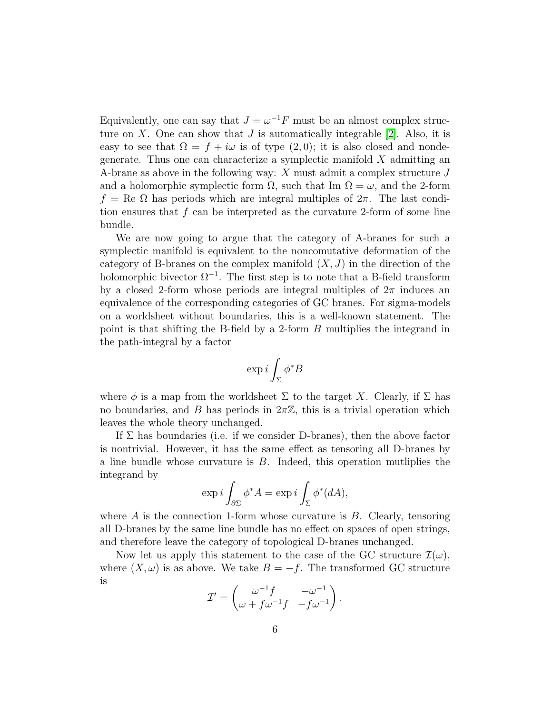Equivalently, one can say that  $J = \omega^{-1}F$  must be an almost complex structure on  $X$ . One can show that  $J$  is automatically integrable [\[2\]](#page-13-1). Also, it is easy to see that  $\Omega = f + i\omega$  is of type  $(2,0)$ ; it is also closed and nondegenerate. Thus one can characterize a symplectic manifold  $X$  admitting an A-brane as above in the following way:  $X$  must admit a complex structure  $J$ and a holomorphic symplectic form  $\Omega$ , such that Im  $\Omega = \omega$ , and the 2-form  $f = \text{Re } \Omega$  has periods which are integral multiples of  $2\pi$ . The last condition ensures that  $f$  can be interpreted as the curvature 2-form of some line bundle.

We are now going to argue that the category of A-branes for such a symplectic manifold is equivalent to the noncomutative deformation of the category of B-branes on the complex manifold  $(X, J)$  in the direction of the holomorphic bivector  $\Omega^{-1}$ . The first step is to note that a B-field transform by a closed 2-form whose periods are integral multiples of  $2\pi$  induces an equivalence of the corresponding categories of GC branes. For sigma-models on a worldsheet without boundaries, this is a well-known statement. The point is that shifting the B-field by a 2-form B multiplies the integrand in the path-integral by a factor

$$
\exp i \int_\Sigma \phi^* B
$$

where  $\phi$  is a map from the worldsheet  $\Sigma$  to the target X. Clearly, if  $\Sigma$  has no boundaries, and B has periods in  $2\pi\mathbb{Z}$ , this is a trivial operation which leaves the whole theory unchanged.

If  $\Sigma$  has boundaries (i.e. if we consider D-branes), then the above factor is nontrivial. However, it has the same effect as tensoring all D-branes by a line bundle whose curvature is  $B$ . Indeed, this operation mutliplies the integrand by

$$
\exp i \int_{\partial \Sigma} \phi^* A = \exp i \int_{\Sigma} \phi^*(dA),
$$

where  $\tilde{A}$  is the connection 1-form whose curvature is  $\tilde{B}$ . Clearly, tensoring all D-branes by the same line bundle has no effect on spaces of open strings, and therefore leave the category of topological D-branes unchanged.

Now let us apply this statement to the case of the GC structure  $\mathcal{I}(\omega)$ , where  $(X, \omega)$  is as above. We take  $B = -f$ . The transformed GC structure is

$$
\mathcal{I}' = \begin{pmatrix} \omega^{-1}f & -\omega^{-1} \\ \omega + f\omega^{-1}f & -f\omega^{-1} \end{pmatrix}.
$$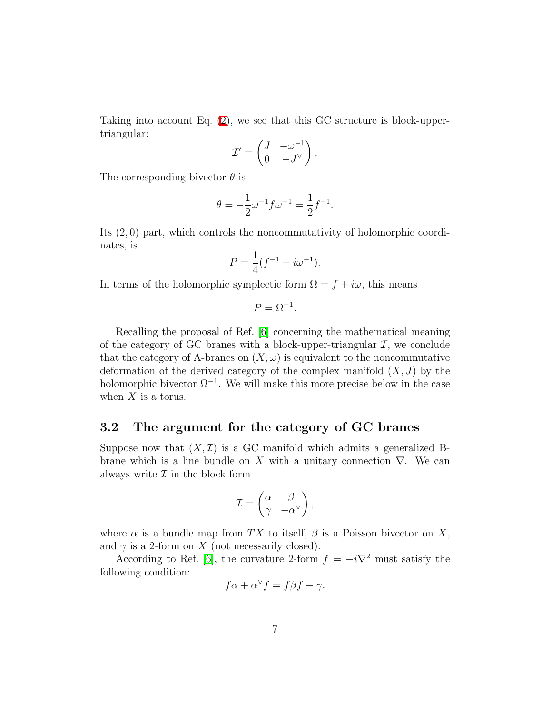Taking into account Eq. [\(2\)](#page-5-1), we see that this GC structure is block-uppertriangular:

$$
\mathcal{I}' = \begin{pmatrix} J & -\omega^{-1} \\ 0 & -J^{\vee} \end{pmatrix}.
$$

The corresponding bivector  $\theta$  is

$$
\theta = -\frac{1}{2}\omega^{-1}f\omega^{-1} = \frac{1}{2}f^{-1}.
$$

Its (2, 0) part, which controls the noncommutativity of holomorphic coordinates, is

$$
P = \frac{1}{4}(f^{-1} - i\omega^{-1}).
$$

In terms of the holomorphic symplectic form  $\Omega = f + i\omega$ , this means

 $P = \Omega^{-1}$ .

Recalling the proposal of Ref. [\[6\]](#page-14-1) concerning the mathematical meaning of the category of GC branes with a block-upper-triangular  $\mathcal{I}$ , we conclude that the category of A-branes on  $(X, \omega)$  is equivalent to the noncommutative deformation of the derived category of the complex manifold  $(X, J)$  by the holomorphic bivector  $\Omega^{-1}$ . We will make this more precise below in the case when  $X$  is a torus.

### 3.2 The argument for the category of GC branes

Suppose now that  $(X,\mathcal{I})$  is a GC manifold which admits a generalized Bbrane which is a line bundle on X with a unitary connection  $\nabla$ . We can always write  $\mathcal I$  in the block form

$$
\mathcal{I} = \begin{pmatrix} \alpha & \beta \\ \gamma & -\alpha^\vee \end{pmatrix},
$$

where  $\alpha$  is a bundle map from TX to itself,  $\beta$  is a Poisson bivector on X, and  $\gamma$  is a 2-form on X (not necessarily closed).

According to Ref. [\[6\]](#page-14-1), the curvature 2-form  $f = -i\nabla^2$  must satisfy the following condition:

$$
f\alpha + \alpha^{\vee} f = f\beta f - \gamma.
$$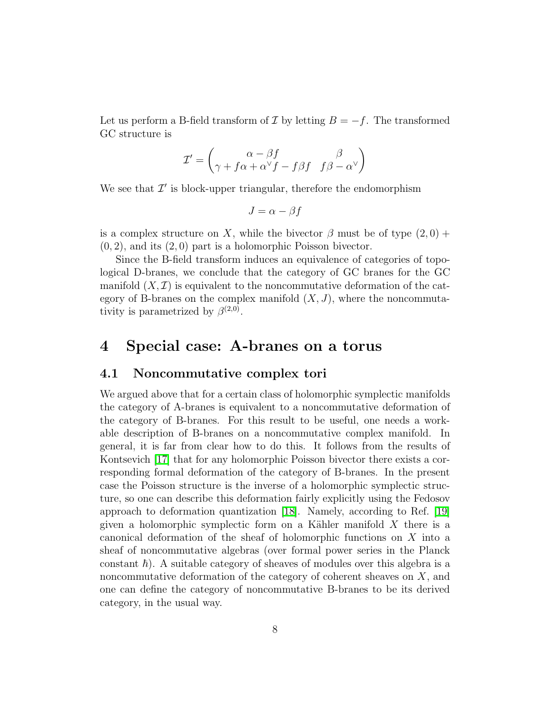Let us perform a B-field transform of  $\mathcal I$  by letting  $B = -f$ . The transformed GC structure is

$$
\mathcal{I}' = \begin{pmatrix} \alpha - \beta f & \beta \\ \gamma + f\alpha + \alpha^\vee f - f\beta f & f\beta - \alpha^\vee \end{pmatrix}
$$

We see that  $\mathcal{I}'$  is block-upper triangular, therefore the endomorphism

$$
J = \alpha - \beta f
$$

is a complex structure on X, while the bivector  $\beta$  must be of type  $(2, 0)$  +  $(0, 2)$ , and its  $(2, 0)$  part is a holomorphic Poisson bivector.

Since the B-field transform induces an equivalence of categories of topological D-branes, we conclude that the category of GC branes for the GC manifold  $(X,\mathcal{I})$  is equivalent to the noncommutative deformation of the category of B-branes on the complex manifold  $(X, J)$ , where the noncommutativity is parametrized by  $\beta^{(2,0)}$ .

### <span id="page-8-0"></span>4 Special case: A-branes on a torus

### 4.1 Noncommutative complex tori

We argued above that for a certain class of holomorphic symplectic manifolds the category of A-branes is equivalent to a noncommutative deformation of the category of B-branes. For this result to be useful, one needs a workable description of B-branes on a noncommutative complex manifold. In general, it is far from clear how to do this. It follows from the results of Kontsevich [\[17\]](#page-14-6) that for any holomorphic Poisson bivector there exists a corresponding formal deformation of the category of B-branes. In the present case the Poisson structure is the inverse of a holomorphic symplectic structure, so one can describe this deformation fairly explicitly using the Fedosov approach to deformation quantization [\[18\]](#page-15-0). Namely, according to Ref. [\[19\]](#page-15-1) given a holomorphic symplectic form on a Kähler manifold  $X$  there is a canonical deformation of the sheaf of holomorphic functions on X into a sheaf of noncommutative algebras (over formal power series in the Planck constant  $\hbar$ ). A suitable category of sheaves of modules over this algebra is a noncommutative deformation of the category of coherent sheaves on  $X$ , and one can define the category of noncommutative B-branes to be its derived category, in the usual way.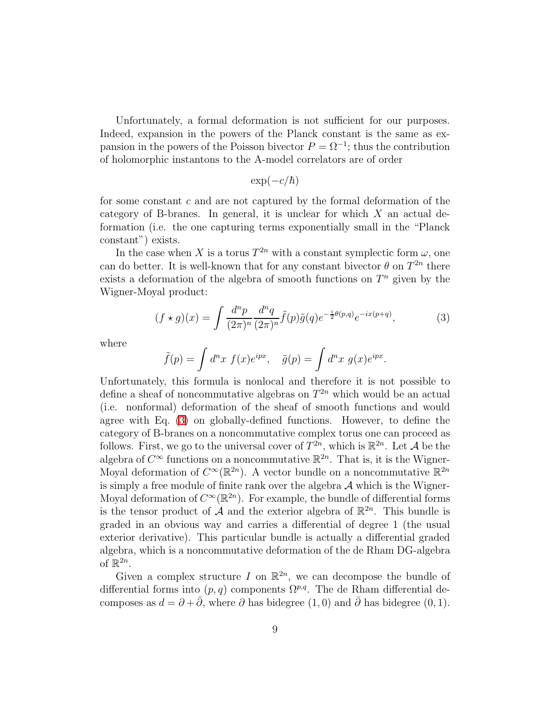Unfortunately, a formal deformation is not sufficient for our purposes. Indeed, expansion in the powers of the Planck constant is the same as expansion in the powers of the Poisson bivector  $P = \Omega^{-1}$ ; thus the contribution of holomorphic instantons to the A-model correlators are of order

$$
\exp(-c/\hbar)
$$

for some constant c and are not captured by the formal deformation of the category of B-branes. In general, it is unclear for which  $X$  an actual deformation (i.e. the one capturing terms exponentially small in the "Planck constant") exists.

In the case when X is a torus  $T^{2n}$  with a constant symplectic form  $\omega$ , one can do better. It is well-known that for any constant bivector  $\theta$  on  $T^{2n}$  there exists a deformation of the algebra of smooth functions on  $T<sup>n</sup>$  given by the Wigner-Moyal product:

<span id="page-9-0"></span>
$$
(f \star g)(x) = \int \frac{d^n p}{(2\pi)^n} \frac{d^n q}{(2\pi)^n} \tilde{f}(p)\tilde{g}(q)e^{-\frac{i}{2}\theta(p,q)}e^{-ix(p+q)},\tag{3}
$$

where

$$
\tilde{f}(p) = \int d^n x \ f(x)e^{ipx}, \quad \tilde{g}(p) = \int d^n x \ g(x)e^{ipx}.
$$

Unfortunately, this formula is nonlocal and therefore it is not possible to define a sheaf of noncommutative algebras on  $T^{2n}$  which would be an actual (i.e. nonformal) deformation of the sheaf of smooth functions and would agree with Eq. [\(3\)](#page-9-0) on globally-defined functions. However, to define the category of B-branes on a noncommutative complex torus one can proceed as follows. First, we go to the universal cover of  $T^{2n}$ , which is  $\mathbb{R}^{2n}$ . Let A be the algebra of  $C^{\infty}$  functions on a noncommutative  $\mathbb{R}^{2n}$ . That is, it is the Wigner-Moyal deformation of  $C^{\infty}(\mathbb{R}^{2n})$ . A vector bundle on a noncommutative  $\mathbb{R}^{2n}$ is simply a free module of finite rank over the algebra  $A$  which is the Wigner-Moyal deformation of  $C^{\infty}(\mathbb{R}^{2n})$ . For example, the bundle of differential forms is the tensor product of  $\mathcal A$  and the exterior algebra of  $\mathbb R^{2n}$ . This bundle is graded in an obvious way and carries a differential of degree 1 (the usual exterior derivative). This particular bundle is actually a differential graded algebra, which is a noncommutative deformation of the de Rham DG-algebra of  $\mathbb{R}^{2n}$ .

Given a complex structure I on  $\mathbb{R}^{2n}$ , we can decompose the bundle of differential forms into  $(p, q)$  components  $\Omega^{p,q}$ . The de Rham differential decomposes as  $d = \partial + \partial$ , where  $\partial$  has bidegree  $(1, 0)$  and  $\partial$  has bidegree  $(0, 1)$ .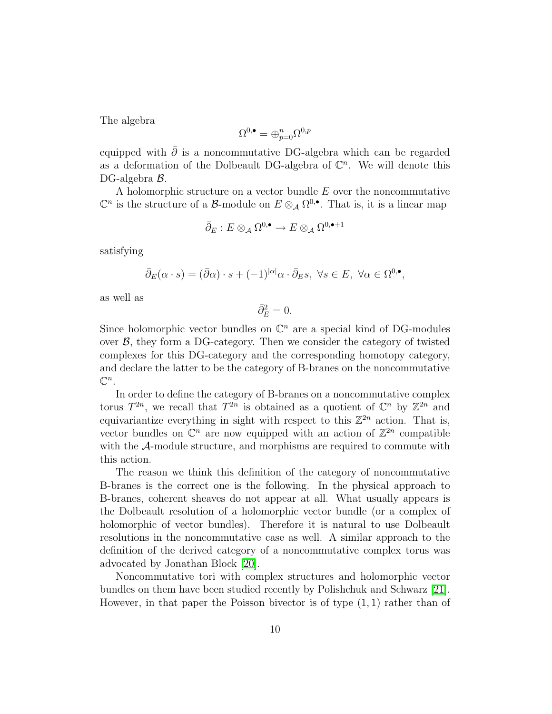The algebra

$$
\Omega^{0,\bullet}=\oplus_{p=0}^n\Omega^{0,p}
$$

equipped with  $\bar{\partial}$  is a noncommutative DG-algebra which can be regarded as a deformation of the Dolbeault DG-algebra of  $\mathbb{C}^n$ . We will denote this DG-algebra B.

A holomorphic structure on a vector bundle  $E$  over the noncommutative  $\mathbb{C}^n$  is the structure of a B-module on  $E \otimes_A \Omega^{0,\bullet}$ . That is, it is a linear map

$$
\bar{\partial}_E: E \otimes_{\mathcal{A}} \Omega^{0,\bullet} \to E \otimes_{\mathcal{A}} \Omega^{0,\bullet+1}
$$

satisfying

$$
\bar{\partial}_E(\alpha \cdot s) = (\bar{\partial}\alpha) \cdot s + (-1)^{|\alpha|} \alpha \cdot \bar{\partial}_E s, \ \forall s \in E, \ \forall \alpha \in \Omega^{0,\bullet},
$$

as well as

 $\bar{\partial}_E^2 = 0.$ 

Since holomorphic vector bundles on  $\mathbb{C}^n$  are a special kind of DG-modules over  $\beta$ , they form a DG-category. Then we consider the category of twisted complexes for this DG-category and the corresponding homotopy category, and declare the latter to be the category of B-branes on the noncommutative  $\mathbb{C}^n$ .

In order to define the category of B-branes on a noncommutative complex torus  $T^{2n}$ , we recall that  $T^{2n}$  is obtained as a quotient of  $\mathbb{C}^n$  by  $\mathbb{Z}^{2n}$  and equivariantize everything in sight with respect to this  $\mathbb{Z}^{2n}$  action. That is, vector bundles on  $\mathbb{C}^n$  are now equipped with an action of  $\mathbb{Z}^{2n}$  compatible with the A-module structure, and morphisms are required to commute with this action.

The reason we think this definition of the category of noncommutative B-branes is the correct one is the following. In the physical approach to B-branes, coherent sheaves do not appear at all. What usually appears is the Dolbeault resolution of a holomorphic vector bundle (or a complex of holomorphic of vector bundles). Therefore it is natural to use Dolbeault resolutions in the noncommutative case as well. A similar approach to the definition of the derived category of a noncommutative complex torus was advocated by Jonathan Block [\[20\]](#page-15-2).

Noncommutative tori with complex structures and holomorphic vector bundles on them have been studied recently by Polishchuk and Schwarz [\[21\]](#page-15-3). However, in that paper the Poisson bivector is of type  $(1, 1)$  rather than of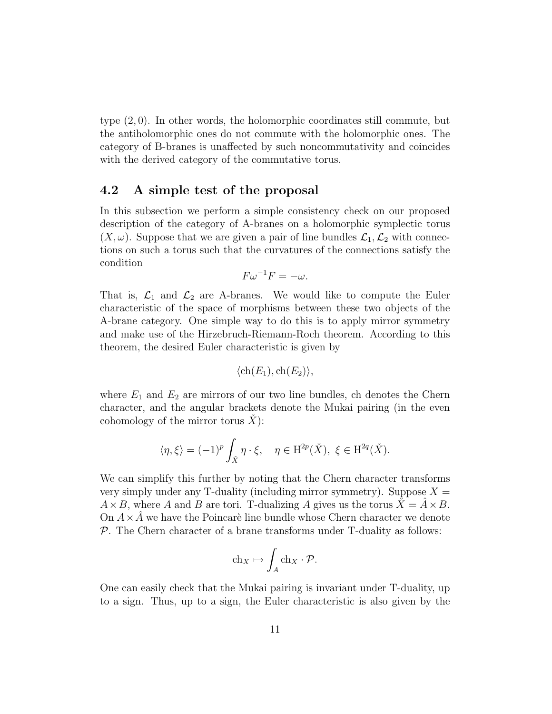type (2, 0). In other words, the holomorphic coordinates still commute, but the antiholomorphic ones do not commute with the holomorphic ones. The category of B-branes is unaffected by such noncommutativity and coincides with the derived category of the commutative torus.

### 4.2 A simple test of the proposal

In this subsection we perform a simple consistency check on our proposed description of the category of A-branes on a holomorphic symplectic torus  $(X, \omega)$ . Suppose that we are given a pair of line bundles  $\mathcal{L}_1, \mathcal{L}_2$  with connections on such a torus such that the curvatures of the connections satisfy the condition

$$
F\omega^{-1}F=-\omega.
$$

That is,  $\mathcal{L}_1$  and  $\mathcal{L}_2$  are A-branes. We would like to compute the Euler characteristic of the space of morphisms between these two objects of the A-brane category. One simple way to do this is to apply mirror symmetry and make use of the Hirzebruch-Riemann-Roch theorem. According to this theorem, the desired Euler characteristic is given by

$$
\langle
$$
ch $(E_1)$ , ch $(E_2)$  $\rangle$ ,

where  $E_1$  and  $E_2$  are mirrors of our two line bundles, ch denotes the Chern character, and the angular brackets denote the Mukai pairing (in the even cohomology of the mirror torus  $\hat{X}$ :

$$
\langle \eta, \xi \rangle = (-1)^p \int_{\check{X}} \eta \cdot \xi, \quad \eta \in \mathrm{H}^{2p}(\check{X}), \ \xi \in \mathrm{H}^{2q}(\check{X}).
$$

We can simplify this further by noting that the Chern character transforms very simply under any T-duality (including mirror symmetry). Suppose  $X =$  $A \times B$ , where A and B are tori. T-dualizing A gives us the torus  $\ddot{X} = A \times B$ . On  $A \times \overline{A}$  we have the Poincaré line bundle whose Chern character we denote  $P$ . The Chern character of a brane transforms under T-duality as follows:

$$
\mathrm{ch}_X \mapsto \int_A \mathrm{ch}_X \cdot \mathcal{P}.
$$

One can easily check that the Mukai pairing is invariant under T-duality, up to a sign. Thus, up to a sign, the Euler characteristic is also given by the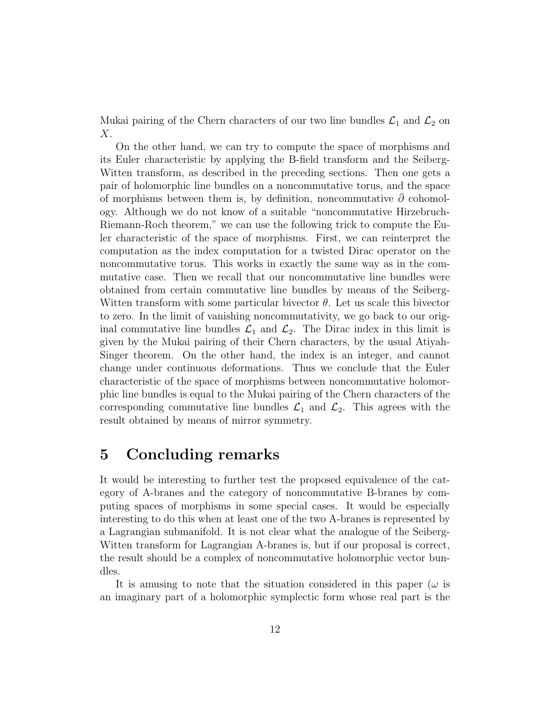Mukai pairing of the Chern characters of our two line bundles  $\mathcal{L}_1$  and  $\mathcal{L}_2$  on  $X$ .

On the other hand, we can try to compute the space of morphisms and its Euler characteristic by applying the B-field transform and the Seiberg-Witten transform, as described in the preceding sections. Then one gets a pair of holomorphic line bundles on a noncommutative torus, and the space of morphisms between them is, by definition, noncommutative  $\partial$  cohomology. Although we do not know of a suitable "noncommutative Hirzebruch-Riemann-Roch theorem," we can use the following trick to compute the Euler characteristic of the space of morphisms. First, we can reinterpret the computation as the index computation for a twisted Dirac operator on the noncommutative torus. This works in exactly the same way as in the commutative case. Then we recall that our noncommutative line bundles were obtained from certain commutative line bundles by means of the Seiberg-Witten transform with some particular bivector  $\theta$ . Let us scale this bivector to zero. In the limit of vanishing noncommutativity, we go back to our original commutative line bundles  $\mathcal{L}_1$  and  $\mathcal{L}_2$ . The Dirac index in this limit is given by the Mukai pairing of their Chern characters, by the usual Atiyah-Singer theorem. On the other hand, the index is an integer, and cannot change under continuous deformations. Thus we conclude that the Euler characteristic of the space of morphisms between noncommutative holomorphic line bundles is equal to the Mukai pairing of the Chern characters of the corresponding commutative line bundles  $\mathcal{L}_1$  and  $\mathcal{L}_2$ . This agrees with the result obtained by means of mirror symmetry.

# <span id="page-12-0"></span>5 Concluding remarks

It would be interesting to further test the proposed equivalence of the category of A-branes and the category of noncommutative B-branes by computing spaces of morphisms in some special cases. It would be especially interesting to do this when at least one of the two A-branes is represented by a Lagrangian submanifold. It is not clear what the analogue of the Seiberg-Witten transform for Lagrangian A-branes is, but if our proposal is correct, the result should be a complex of noncommutative holomorphic vector bundles.

It is amusing to note that the situation considered in this paper  $(\omega)$  is an imaginary part of a holomorphic symplectic form whose real part is the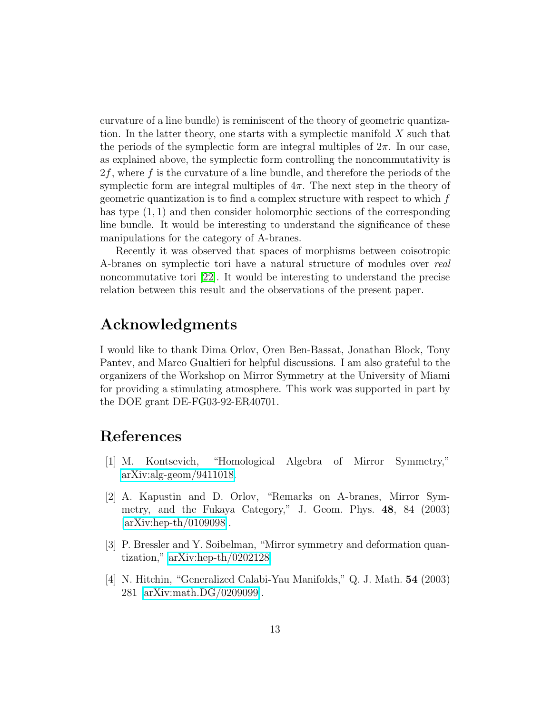curvature of a line bundle) is reminiscent of the theory of geometric quantization. In the latter theory, one starts with a symplectic manifold  $X$  such that the periods of the symplectic form are integral multiples of  $2\pi$ . In our case, as explained above, the symplectic form controlling the noncommutativity is  $2f$ , where f is the curvature of a line bundle, and therefore the periods of the symplectic form are integral multiples of  $4\pi$ . The next step in the theory of geometric quantization is to find a complex structure with respect to which  $f$ has type (1, 1) and then consider holomorphic sections of the corresponding line bundle. It would be interesting to understand the significance of these manipulations for the category of A-branes.

Recently it was observed that spaces of morphisms between coisotropic A-branes on symplectic tori have a natural structure of modules over real noncommutative tori [\[22\]](#page-15-4). It would be interesting to understand the precise relation between this result and the observations of the present paper.

## Acknowledgments

I would like to thank Dima Orlov, Oren Ben-Bassat, Jonathan Block, Tony Pantev, and Marco Gualtieri for helpful discussions. I am also grateful to the organizers of the Workshop on Mirror Symmetry at the University of Miami for providing a stimulating atmosphere. This work was supported in part by the DOE grant DE-FG03-92-ER40701.

# <span id="page-13-0"></span>References

- <span id="page-13-1"></span>[1] M. Kontsevich, "Homological Algebra of Mirror Symmetry," [arXiv:alg-geom/9411018.](http://arXiv.org/abs/alg-geom/9411018)
- [2] A. Kapustin and D. Orlov, "Remarks on A-branes, Mirror Symmetry, and the Fukaya Category," J. Geom. Phys. 48, 84 (2003)  $\arXiv:hep-th/0109098$ .
- <span id="page-13-2"></span>[3] P. Bressler and Y. Soibelman, "Mirror symmetry and deformation quantization," [arXiv:hep-th/0202128.](http://arXiv.org/abs/hep-th/0202128)
- <span id="page-13-3"></span>[4] N. Hitchin, "Generalized Calabi-Yau Manifolds," Q. J. Math. 54 (2003) 281 [\[arXiv:math.DG/0209099\]](http://arXiv.org/abs/math/0209099).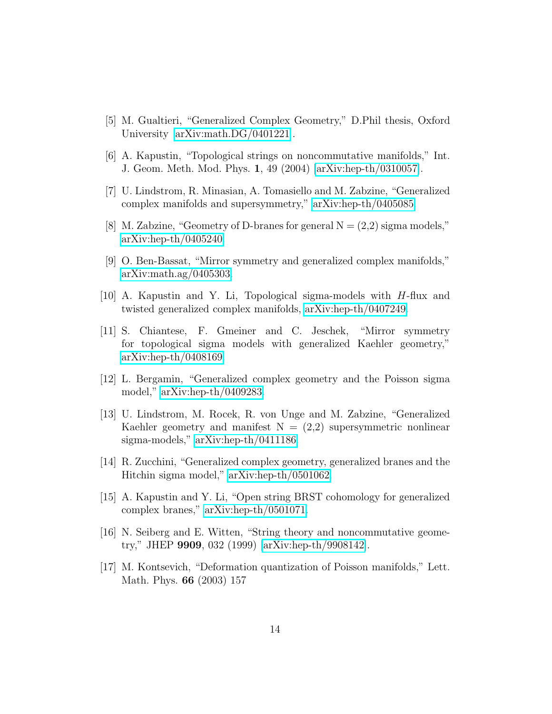- <span id="page-14-1"></span><span id="page-14-0"></span>[5] M. Gualtieri, "Generalized Complex Geometry," D.Phil thesis, Oxford University [\[arXiv:math.DG/0401221\]](http://arXiv.org/abs/math/0401221).
- [6] A. Kapustin, "Topological strings on noncommutative manifolds," Int. J. Geom. Meth. Mod. Phys. 1, 49 (2004) [\[arXiv:hep-th/0310057\]](http://arXiv.org/abs/hep-th/0310057).
- [7] U. Lindstrom, R. Minasian, A. Tomasiello and M. Zabzine, "Generalized complex manifolds and supersymmetry," [arXiv:hep-th/0405085.](http://arXiv.org/abs/hep-th/0405085)
- <span id="page-14-4"></span>[8] M. Zabzine, "Geometry of D-branes for general  $N = (2,2)$  sigma models," [arXiv:hep-th/0405240.](http://arXiv.org/abs/hep-th/0405240)
- [9] O. Ben-Bassat, "Mirror symmetry and generalized complex manifolds," [arXiv:math.ag/0405303.](http://arXiv.org/abs/math/0405303)
- <span id="page-14-3"></span>[10] A. Kapustin and Y. Li, Topological sigma-models with H-flux and twisted generalized complex manifolds, [arXiv:hep-th/0407249.](http://arXiv.org/abs/hep-th/0407249)
- [11] S. Chiantese, F. Gmeiner and C. Jeschek, "Mirror symmetry for topological sigma models with generalized Kaehler geometry," [arXiv:hep-th/0408169.](http://arXiv.org/abs/hep-th/0408169)
- [12] L. Bergamin, "Generalized complex geometry and the Poisson sigma model," [arXiv:hep-th/0409283.](http://arXiv.org/abs/hep-th/0409283)
- [13] U. Lindstrom, M. Rocek, R. von Unge and M. Zabzine, "Generalized Kaehler geometry and manifest  $N = (2,2)$  supersymmetric nonlinear sigma-models," [arXiv:hep-th/0411186.](http://arXiv.org/abs/hep-th/0411186)
- [14] R. Zucchini, "Generalized complex geometry, generalized branes and the Hitchin sigma model," [arXiv:hep-th/0501062.](http://arXiv.org/abs/hep-th/0501062)
- <span id="page-14-2"></span>[15] A. Kapustin and Y. Li, "Open string BRST cohomology for generalized complex branes," [arXiv:hep-th/0501071.](http://arXiv.org/abs/hep-th/0501071)
- <span id="page-14-5"></span>[16] N. Seiberg and E. Witten, "String theory and noncommutative geometry," JHEP 9909, 032 (1999) [\[arXiv:hep-th/9908142\]](http://arXiv.org/abs/hep-th/9908142).
- <span id="page-14-6"></span>[17] M. Kontsevich, "Deformation quantization of Poisson manifolds," Lett. Math. Phys. 66 (2003) 157